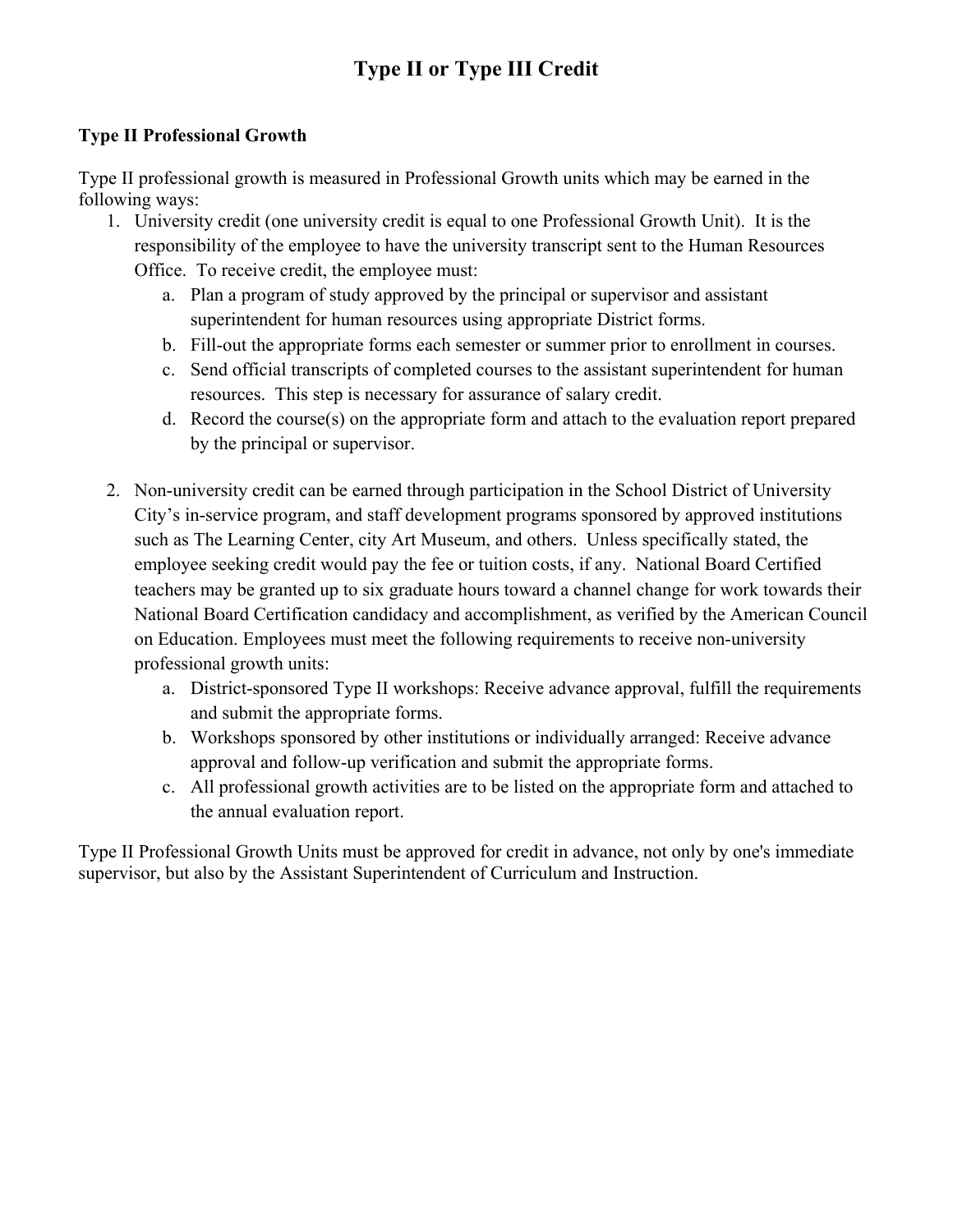## **Type II or Type III Credit**

### **Type II Professional Growth**

Type II professional growth is measured in Professional Growth units which may be earned in the following ways:

- 1. University credit (one university credit is equal to one Professional Growth Unit). It is the responsibility of the employee to have the university transcript sent to the Human Resources Office. To receive credit, the employee must:
	- a. Plan a program of study approved by the principal or supervisor and assistant superintendent for human resources using appropriate District forms.
	- b. Fill-out the appropriate forms each semester or summer prior to enrollment in courses.
	- c. Send official transcripts of completed courses to the assistant superintendent for human resources. This step is necessary for assurance of salary credit.
	- d. Record the course(s) on the appropriate form and attach to the evaluation report prepared by the principal or supervisor.
- 2. Non-university credit can be earned through participation in the School District of University City's in-service program, and staff development programs sponsored by approved institutions such as The Learning Center, city Art Museum, and others. Unless specifically stated, the employee seeking credit would pay the fee or tuition costs, if any. National Board Certified teachers may be granted up to six graduate hours toward a channel change for work towards their National Board Certification candidacy and accomplishment, as verified by the American Council on Education. Employees must meet the following requirements to receive non-university professional growth units:
	- a. District-sponsored Type II workshops: Receive advance approval, fulfill the requirements and submit the appropriate forms.
	- b. Workshops sponsored by other institutions or individually arranged: Receive advance approval and follow-up verification and submit the appropriate forms.
	- c. All professional growth activities are to be listed on the appropriate form and attached to the annual evaluation report.

Type II Professional Growth Units must be approved for credit in advance, not only by one's immediate supervisor, but also by the Assistant Superintendent of Curriculum and Instruction.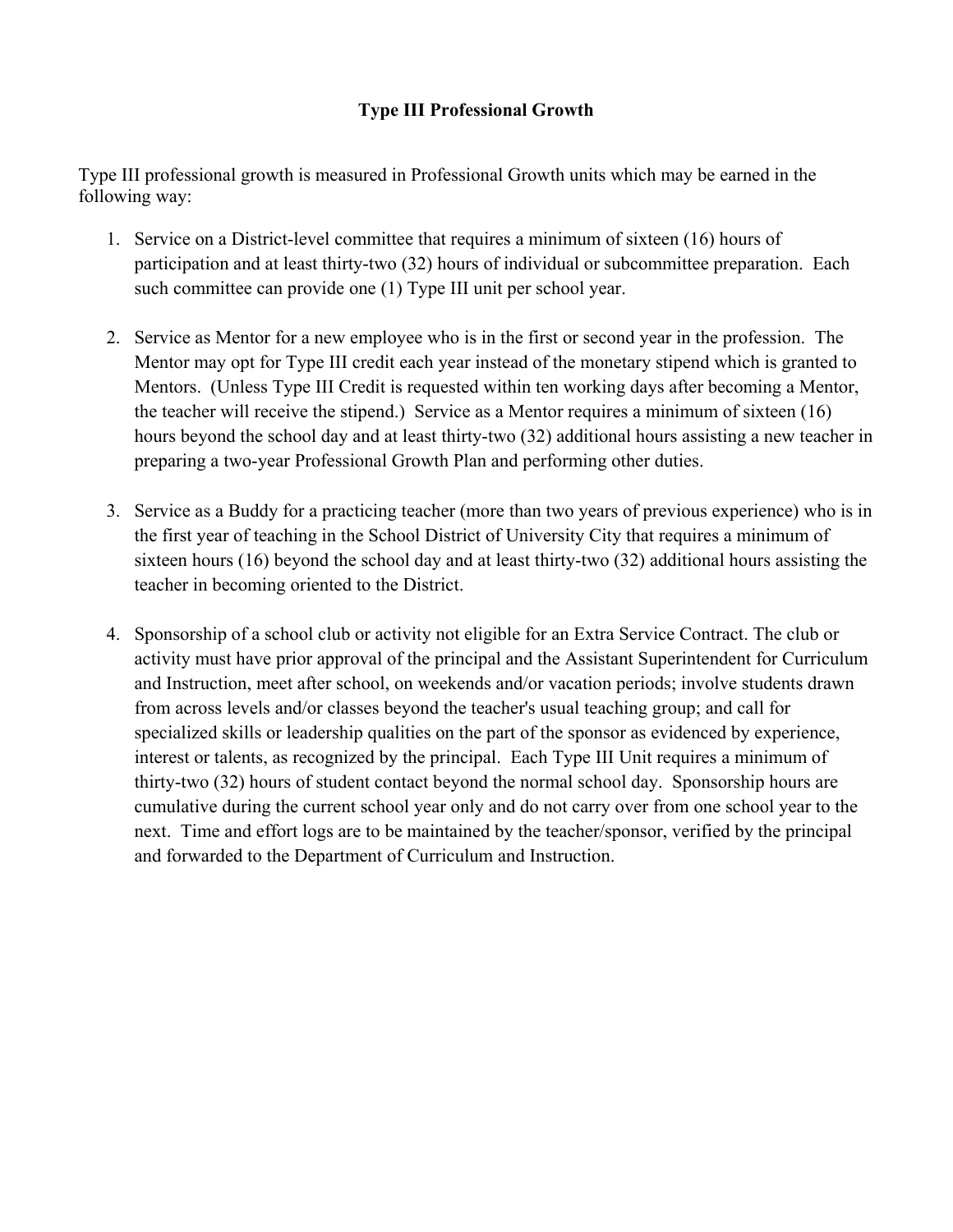### **Type III Professional Growth**

Type III professional growth is measured in Professional Growth units which may be earned in the following way:

- 1. Service on a District-level committee that requires a minimum of sixteen (16) hours of participation and at least thirty-two (32) hours of individual or subcommittee preparation. Each such committee can provide one (1) Type III unit per school year.
- 2. Service as Mentor for a new employee who is in the first or second year in the profession. The Mentor may opt for Type III credit each year instead of the monetary stipend which is granted to Mentors. (Unless Type III Credit is requested within ten working days after becoming a Mentor, the teacher will receive the stipend.) Service as a Mentor requires a minimum of sixteen (16) hours beyond the school day and at least thirty-two (32) additional hours assisting a new teacher in preparing a two-year Professional Growth Plan and performing other duties.
- 3. Service as a Buddy for a practicing teacher (more than two years of previous experience) who is in the first year of teaching in the School District of University City that requires a minimum of sixteen hours (16) beyond the school day and at least thirty-two (32) additional hours assisting the teacher in becoming oriented to the District.
- 4. Sponsorship of a school club or activity not eligible for an Extra Service Contract. The club or activity must have prior approval of the principal and the Assistant Superintendent for Curriculum and Instruction, meet after school, on weekends and/or vacation periods; involve students drawn from across levels and/or classes beyond the teacher's usual teaching group; and call for specialized skills or leadership qualities on the part of the sponsor as evidenced by experience, interest or talents, as recognized by the principal. Each Type III Unit requires a minimum of thirty-two (32) hours of student contact beyond the normal school day. Sponsorship hours are cumulative during the current school year only and do not carry over from one school year to the next. Time and effort logs are to be maintained by the teacher/sponsor, verified by the principal and forwarded to the Department of Curriculum and Instruction.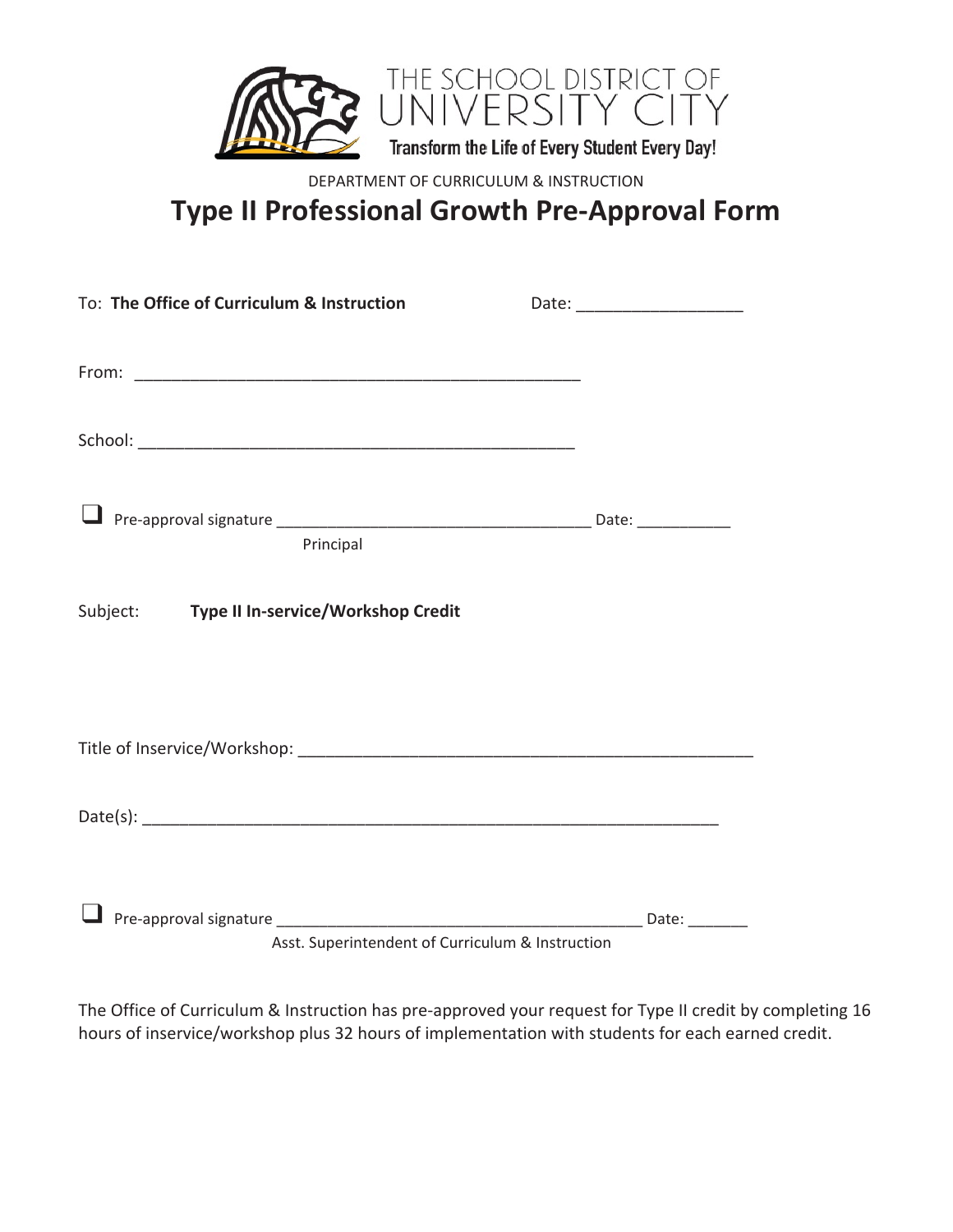

DEPARTMENT OF CURRICULUM & INSTRUCTION

**Type II Professional Growth Pre-Approval Form**

| To: The Office of Curriculum & Instruction       | Date: _________________________ |
|--------------------------------------------------|---------------------------------|
|                                                  |                                 |
|                                                  |                                 |
|                                                  |                                 |
|                                                  |                                 |
|                                                  |                                 |
|                                                  |                                 |
| Principal                                        |                                 |
|                                                  |                                 |
| Subject: Type II In-service/Workshop Credit      |                                 |
|                                                  |                                 |
|                                                  |                                 |
|                                                  |                                 |
|                                                  |                                 |
|                                                  |                                 |
|                                                  |                                 |
|                                                  |                                 |
|                                                  |                                 |
|                                                  |                                 |
| Asst. Superintendent of Curriculum & Instruction |                                 |

The Office of Curriculum & Instruction has pre-approved your request for Type II credit by completing 16 hours of inservice/workshop plus 32 hours of implementation with students for each earned credit.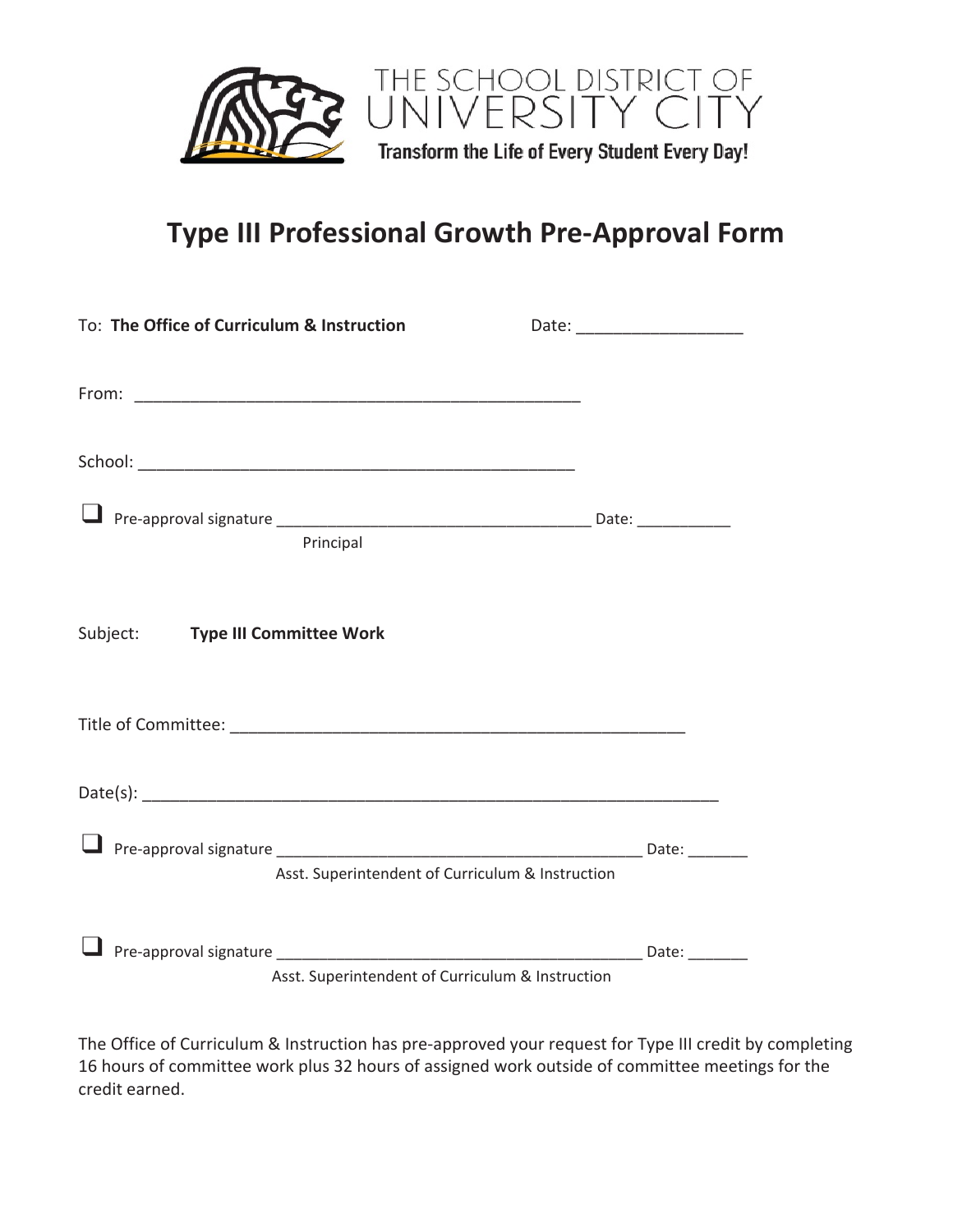

# **Type III Professional Growth Pre-Approval Form**

| To: The Office of Curriculum & Instruction |                                                  | Date: ________________________ |
|--------------------------------------------|--------------------------------------------------|--------------------------------|
|                                            |                                                  |                                |
|                                            |                                                  |                                |
|                                            |                                                  |                                |
|                                            |                                                  |                                |
|                                            |                                                  |                                |
| Principal                                  |                                                  |                                |
|                                            |                                                  |                                |
| Subject: Type III Committee Work           |                                                  |                                |
|                                            |                                                  |                                |
|                                            |                                                  |                                |
|                                            |                                                  |                                |
|                                            |                                                  |                                |
|                                            |                                                  |                                |
|                                            |                                                  |                                |
|                                            | Asst. Superintendent of Curriculum & Instruction |                                |
|                                            |                                                  |                                |
|                                            |                                                  |                                |
|                                            | Asst. Superintendent of Curriculum & Instruction |                                |

The Office of Curriculum & Instruction has pre-approved your request for Type III credit by completing 16 hours of committee work plus 32 hours of assigned work outside of committee meetings for the credit earned.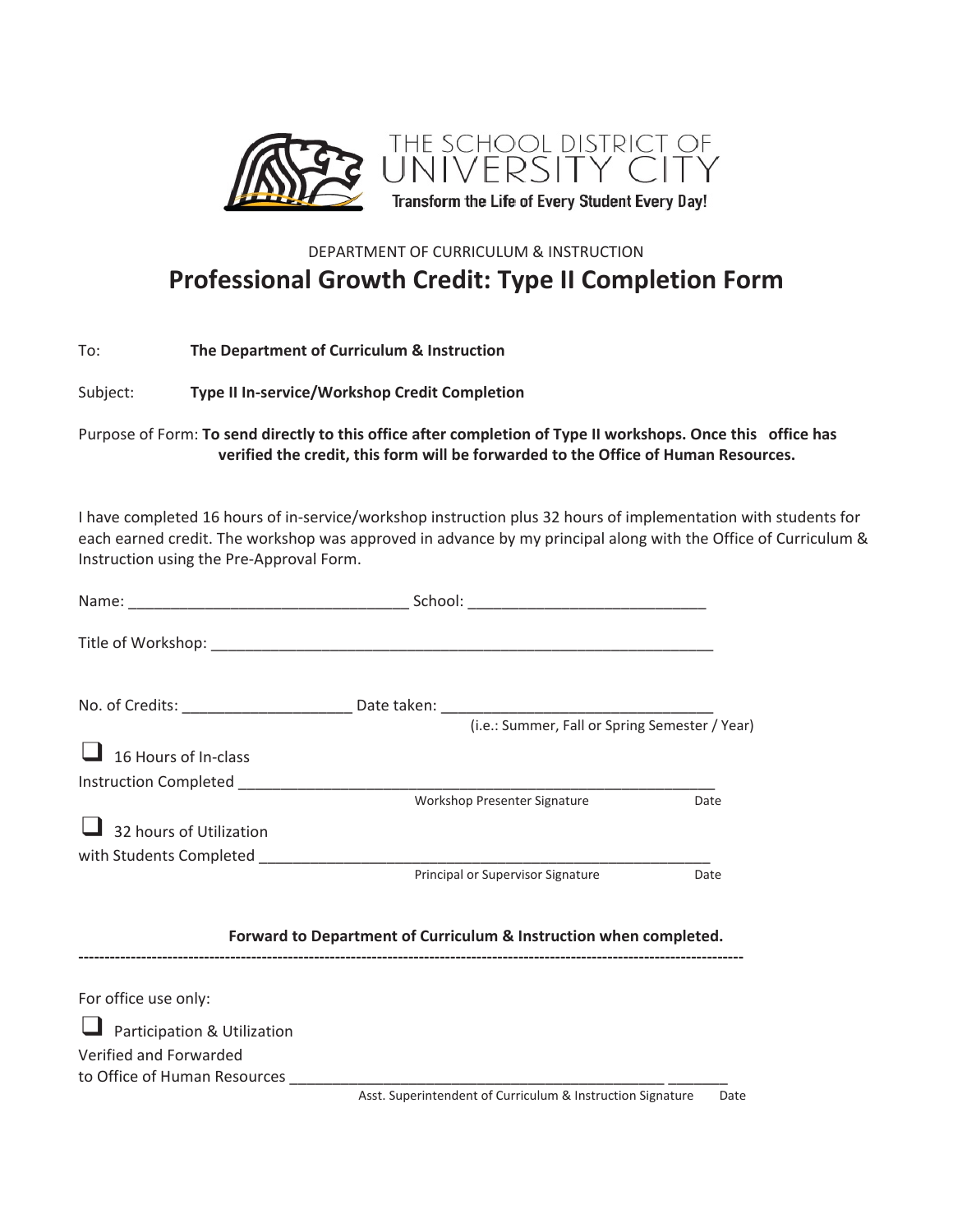

### DEPARTMENT OF CURRICULUM & INSTRUCTION **Professional Growth Credit: Type II Completion Form**

| To: | The Department of Curriculum & Instruction |
|-----|--------------------------------------------|
|-----|--------------------------------------------|

Subject: **Type II In-service/Workshop Credit Completion**

Purpose of Form: **To send directly to this office after completion of Type II workshops. Once this office has verified the credit, this form will be forwarded to the Office of Human Resources.**

I have completed 16 hours of in-service/workshop instruction plus 32 hours of implementation with students for each earned credit. The workshop was approved in advance by my principal along with the Office of Curriculum & Instruction using the Pre-Approval Form.

|                              | (i.e.: Summer, Fall or Spring Semester / Year)                    |      |
|------------------------------|-------------------------------------------------------------------|------|
|                              |                                                                   |      |
| 16 Hours of In-class         |                                                                   |      |
|                              |                                                                   |      |
|                              | Workshop Presenter Signature                                      | Date |
| 32 hours of Utilization      |                                                                   |      |
|                              |                                                                   |      |
|                              | Principal or Supervisor Signature                                 | Date |
|                              | Forward to Department of Curriculum & Instruction when completed. |      |
| For office use only:         |                                                                   |      |
| Participation & Utilization  |                                                                   |      |
| Verified and Forwarded       |                                                                   |      |
| to Office of Human Resources |                                                                   |      |
|                              | Asst. Superintendent of Curriculum & Instruction Signature        | Date |